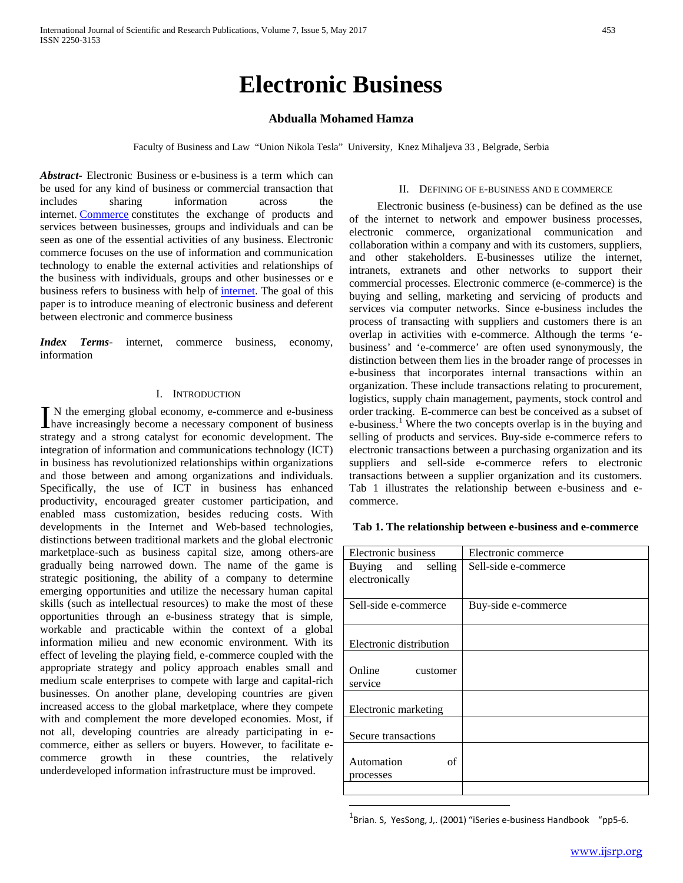# **Electronic Business**

## **Abdualla Mohamed Hamza**

Faculty of Business and Law "Union Nikola Tesla" University, Knez Mihaljeva 33 , Belgrade, Serbia

*Abstract***-** Electronic Business or e-business is a term which can be used for any kind of business or commercial transaction that includes sharing information across the internet. [Commerce](https://en.wikipedia.org/wiki/Commerce) constitutes the exchange of products and services between businesses, groups and individuals and can be seen as one of the essential activities of any business. Electronic commerce focuses on the use of information and communication technology to enable the external activities and relationships of the business with individuals, groups and other businesses or e business refers to business with help of [internet.](https://en.wikipedia.org/wiki/Internet) The goal of this paper is to introduce meaning of electronic business and deferent between electronic and commerce business

*Index Terms*- internet, commerce business, economy, information

## I. INTRODUCTION

<span id="page-0-1"></span> $\blacksquare$  N the emerging global economy, e-commerce and e-business In the emerging global economy, e-commerce and e-business<br>have increasingly become a necessary component of business strategy and a strong catalyst for economic development. The integration of information and communications technology (ICT) in business has revolutionized relationships within organizations and those between and among organizations and individuals. Specifically, the use of ICT in business has enhanced productivity, encouraged greater customer participation, and enabled mass customization, besides reducing costs. With developments in the Internet and Web-based technologies, distinctions between traditional markets and the global electronic marketplace-such as business capital size, among others-are gradually being narrowed down. The name of the game is strategic positioning, the ability of a company to determine emerging opportunities and utilize the necessary human capital skills (such as intellectual resources) to make the most of these opportunities through an e-business strategy that is simple, workable and practicable within the context of a global information milieu and new economic environment. With its effect of leveling the playing field, e-commerce coupled with the appropriate strategy and policy approach enables small and medium scale enterprises to compete with large and capital-rich businesses. On another plane, developing countries are given increased access to the global marketplace, where they compete with and complement the more developed economies. Most, if not all, developing countries are already participating in ecommerce, either as sellers or buyers. However, to facilitate ecommerce growth in these countries, the relatively underdeveloped information infrastructure must be improved.

### II. DEFINING OF E-BUSINESS AND E COMMERCE

 Electronic business (e-business) can be defined as the use of the internet to network and empower business processes, electronic commerce, organizational communication and collaboration within a company and with its customers, suppliers, and other stakeholders. E-businesses utilize the internet, intranets, extranets and other networks to support their commercial processes. Electronic commerce (e-commerce) is the buying and selling, marketing and servicing of products and services via computer networks. Since e-business includes the process of transacting with suppliers and customers there is an overlap in activities with e-commerce. Although the terms 'ebusiness' and 'e-commerce' are often used synonymously, the distinction between them lies in the broader range of processes in e-business that incorporates internal transactions within an organization. These include transactions relating to procurement, logistics, supply chain management, payments, stock control and order tracking. E-commerce can best be conceived as a subset of e-business.<sup>[1](#page-0-0)</sup> Where the two concepts overlap is in the buying and selling of products and services. Buy-side e-commerce refers to electronic transactions between a purchasing organization and its suppliers and sell-side e-commerce refers to electronic transactions between a supplier organization and its customers. Tab 1 illustrates the relationship between e-business and ecommerce.

#### **Tab 1. The relationship between e-business and e-commerce**

| Electronic business     | Electronic commerce  |  |
|-------------------------|----------------------|--|
| Buying and<br>selling   | Sell-side e-commerce |  |
| electronically          |                      |  |
|                         |                      |  |
| Sell-side e-commerce    | Buy-side e-commerce  |  |
|                         |                      |  |
| Electronic distribution |                      |  |
|                         |                      |  |
| Online<br>customer      |                      |  |
| service                 |                      |  |
|                         |                      |  |
| Electronic marketing    |                      |  |
|                         |                      |  |
| Secure transactions     |                      |  |
|                         |                      |  |
| Automation<br>of        |                      |  |
| processes               |                      |  |
|                         |                      |  |

<span id="page-0-0"></span> $^{1}$ Brian. S, YesSong, J,. (2001) "iSeries e-business Handbook  $\,$  "pp5-6.

 $\overline{a}$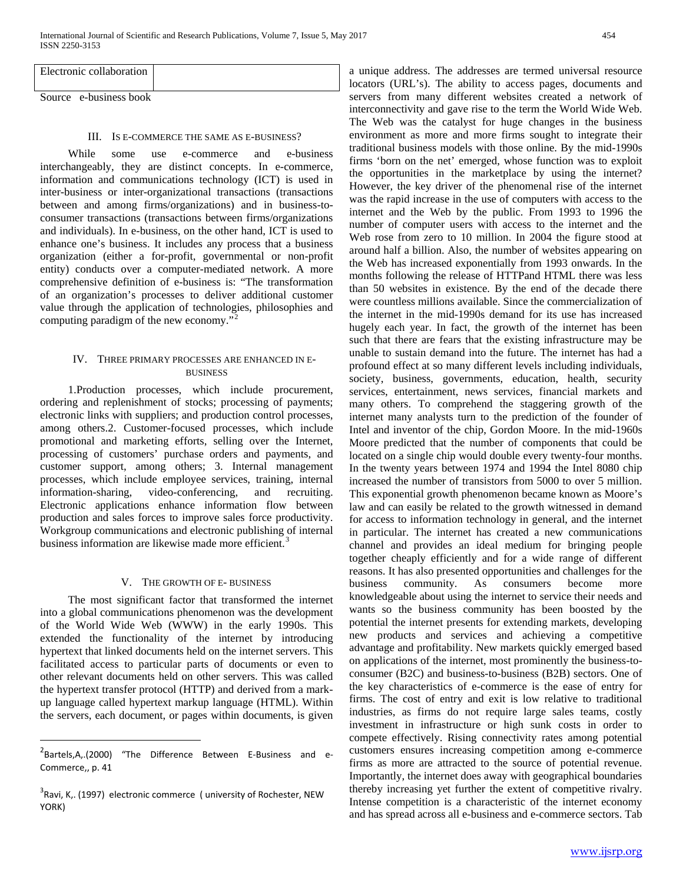| Electronic collaboration |  |
|--------------------------|--|
| Source e-business book   |  |

#### III. IS E-COMMERCE THE SAME AS E-BUSINESS?

 While some use e-commerce and e-business interchangeably, they are distinct concepts. In e-commerce, information and communications technology (ICT) is used in inter-business or inter-organizational transactions (transactions between and among firms/organizations) and in business-toconsumer transactions (transactions between firms/organizations and individuals). In e-business, on the other hand, ICT is used to enhance one's business. It includes any process that a business organization (either a for-profit, governmental or non-profit entity) conducts over a computer-mediated network. A more comprehensive definition of e-business is: "The transformation of an organization's processes to deliver additional customer value through the application of technologies, philosophies and computing paradigm of the new economy."[2](#page-0-1)

## IV. THREE PRIMARY PROCESSES ARE ENHANCED IN E-BUSINESS

 1.Production processes, which include procurement, ordering and replenishment of stocks; processing of payments; electronic links with suppliers; and production control processes, among others.2. Customer-focused processes, which include promotional and marketing efforts, selling over the Internet, processing of customers' purchase orders and payments, and customer support, among others; 3. Internal management processes, which include employee services, training, internal information-sharing, video-conferencing, and recruiting. Electronic applications enhance information flow between production and sales forces to improve sales force productivity. Workgroup communications and electronic publishing of internal business information are likewise made more efficient.<sup>[3](#page-1-0)</sup>

#### V. THE GROWTH OF E- BUSINESS

 The most significant factor that transformed the internet into a global communications phenomenon was the development of the World Wide Web (WWW) in the early 1990s. This extended the functionality of the internet by introducing hypertext that linked documents held on the internet servers. This facilitated access to particular parts of documents or even to other relevant documents held on other servers. This was called the hypertext transfer protocol (HTTP) and derived from a markup language called hypertext markup language (HTML). Within the servers, each document, or pages within documents, is given

 $\overline{a}$ 

a unique address. The addresses are termed universal resource locators (URL's). The ability to access pages, documents and servers from many different websites created a network of interconnectivity and gave rise to the term the World Wide Web. The Web was the catalyst for huge changes in the business environment as more and more firms sought to integrate their traditional business models with those online. By the mid-1990s firms 'born on the net' emerged, whose function was to exploit the opportunities in the marketplace by using the internet? However, the key driver of the phenomenal rise of the internet was the rapid increase in the use of computers with access to the internet and the Web by the public. From 1993 to 1996 the number of computer users with access to the internet and the Web rose from zero to 10 million. In 2004 the figure stood at around half a billion. Also, the number of websites appearing on the Web has increased exponentially from 1993 onwards. In the months following the release of HTTPand HTML there was less than 50 websites in existence. By the end of the decade there were countless millions available. Since the commercialization of the internet in the mid-1990s demand for its use has increased hugely each year. In fact, the growth of the internet has been such that there are fears that the existing infrastructure may be unable to sustain demand into the future. The internet has had a profound effect at so many different levels including individuals, society, business, governments, education, health, security services, entertainment, news services, financial markets and many others. To comprehend the staggering growth of the internet many analysts turn to the prediction of the founder of Intel and inventor of the chip, Gordon Moore. In the mid-1960s Moore predicted that the number of components that could be located on a single chip would double every twenty-four months. In the twenty years between 1974 and 1994 the Intel 8080 chip increased the number of transistors from 5000 to over 5 million. This exponential growth phenomenon became known as Moore's law and can easily be related to the growth witnessed in demand for access to information technology in general, and the internet in particular. The internet has created a new communications channel and provides an ideal medium for bringing people together cheaply efficiently and for a wide range of different reasons. It has also presented opportunities and challenges for the business community. As consumers become more knowledgeable about using the internet to service their needs and wants so the business community has been boosted by the potential the internet presents for extending markets, developing new products and services and achieving a competitive advantage and profitability. New markets quickly emerged based on applications of the internet, most prominently the business-toconsumer (B2C) and business-to-business (B2B) sectors. One of the key characteristics of e-commerce is the ease of entry for firms. The cost of entry and exit is low relative to traditional industries, as firms do not require large sales teams, costly investment in infrastructure or high sunk costs in order to compete effectively. Rising connectivity rates among potential customers ensures increasing competition among e-commerce firms as more are attracted to the source of potential revenue. Importantly, the internet does away with geographical boundaries thereby increasing yet further the extent of competitive rivalry. Intense competition is a characteristic of the internet economy and has spread across all e-business and e-commerce sectors. Tab

<sup>&</sup>lt;sup>2</sup>Bartels,A,.(2000) "The Difference Between E-Business and e-Commerce,, p. 41

<span id="page-1-1"></span><span id="page-1-0"></span> $3$ Ravi, K,. (1997) electronic commerce (university of Rochester, NEW YORK)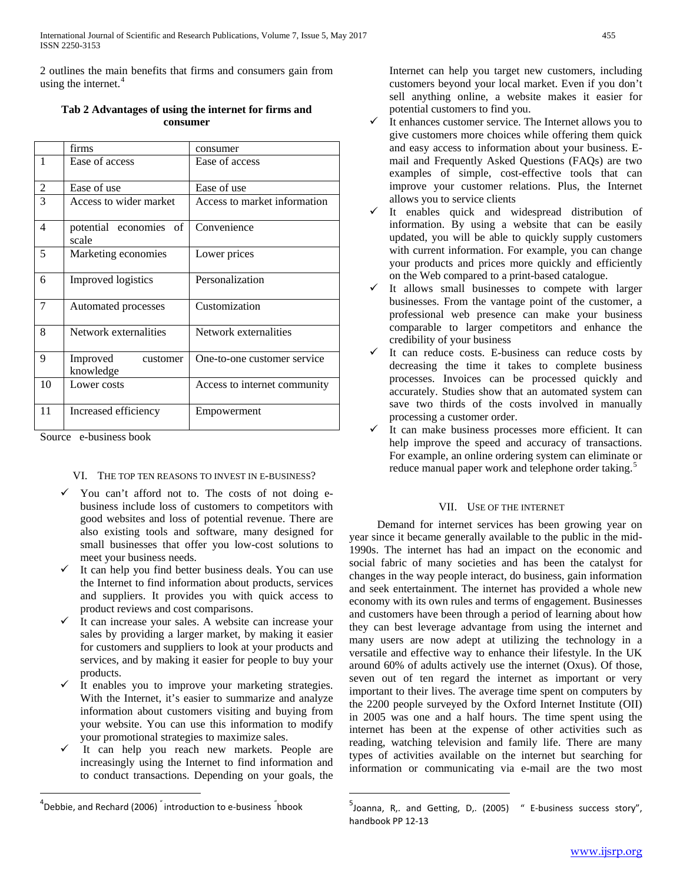2 outlines the main benefits that firms and consumers gain from using the internet. $4$ 

| Tab 2 Advantages of using the internet for firms and |  |
|------------------------------------------------------|--|
| consumer                                             |  |

|                | firms                              | consumer                     |
|----------------|------------------------------------|------------------------------|
| 1              | Ease of access                     | Ease of access               |
| $\overline{c}$ | Ease of use                        | Ease of use                  |
| $\overline{3}$ | Access to wider market             | Access to market information |
| 4              | potential economies<br>of<br>scale | Convenience                  |
| 5              | Marketing economies                | Lower prices                 |
| 6              | <b>Improved</b> logistics          | Personalization              |
| 7              | Automated processes                | Customization                |
| 8              | Network externalities              | Network externalities        |
| 9              | Improved<br>customer<br>knowledge  | One-to-one customer service  |
| 10             | Lower costs                        | Access to internet community |
| 11             | Increased efficiency               | Empowerment                  |

Source e-business book

#### VI. THE TOP TEN REASONS TO INVEST IN E-BUSINESS?

- $\checkmark$  You can't afford not to. The costs of not doing ebusiness include loss of customers to competitors with good websites and loss of potential revenue. There are also existing tools and software, many designed for small businesses that offer you low-cost solutions to meet your business needs.
- $\checkmark$  It can help you find better business deals. You can use the Internet to find information about products, services and suppliers. It provides you with quick access to product reviews and cost comparisons.
- It can increase your sales. A website can increase your sales by providing a larger market, by making it easier for customers and suppliers to look at your products and services, and by making it easier for people to buy your products.
- It enables you to improve your marketing strategies. With the Internet, it's easier to summarize and analyze information about customers visiting and buying from your website. You can use this information to modify your promotional strategies to maximize sales.
- It can help you reach new markets. People are increasingly using the Internet to find information and to conduct transactions. Depending on your goals, the

Internet can help you target new customers, including customers beyond your local market. Even if you don't sell anything online, a website makes it easier for potential customers to find you.

- It enhances customer service. The Internet allows you to give customers more choices while offering them quick and easy access to information about your business. Email and Frequently Asked Questions (FAQs) are two examples of simple, cost-effective tools that can improve your customer relations. Plus, the Internet allows you to service clients
- $\checkmark$  It enables quick and widespread distribution of information. By using a website that can be easily updated, you will be able to quickly supply customers with current information. For example, you can change your products and prices more quickly and efficiently on the Web compared to a print-based catalogue.
- It allows small businesses to compete with larger businesses. From the vantage point of the customer, a professional web presence can make your business comparable to larger competitors and enhance the credibility of your business
- $\checkmark$  It can reduce costs. E-business can reduce costs by decreasing the time it takes to complete business processes. Invoices can be processed quickly and accurately. Studies show that an automated system can save two thirds of the costs involved in manually processing a customer order.
- It can make business processes more efficient. It can help improve the speed and accuracy of transactions. For example, an online ordering system can eliminate or reduce manual paper work and telephone order taking.<sup>[5](#page-2-0)</sup>

# VII. USE OF THE INTERNET

 Demand for internet services has been growing year on year since it became generally available to the public in the mid-1990s. The internet has had an impact on the economic and social fabric of many societies and has been the catalyst for changes in the way people interact, do business, gain information and seek entertainment. The internet has provided a whole new economy with its own rules and terms of engagement. Businesses and customers have been through a period of learning about how they can best leverage advantage from using the internet and many users are now adept at utilizing the technology in a versatile and effective way to enhance their lifestyle. In the UK around 60% of adults actively use the internet (Oxus). Of those, seven out of ten regard the internet as important or very important to their lives. The average time spent on computers by the 2200 people surveyed by the Oxford Internet Institute (OII) in 2005 was one and a half hours. The time spent using the internet has been at the expense of other activities such as reading, watching television and family life. There are many types of activities available on the internet but searching for information or communicating via e-mail are the two most

 $\overline{a}$ 

<span id="page-2-1"></span><span id="page-2-0"></span><sup>-&</sup>lt;br>4 Debbie, and Rechard (2006) " introduction to e-business " hbook

<sup>&</sup>lt;sup>5</sup>Joanna, R,. and Getting, D,. (2005) " E-business success story", handbook PP 12-13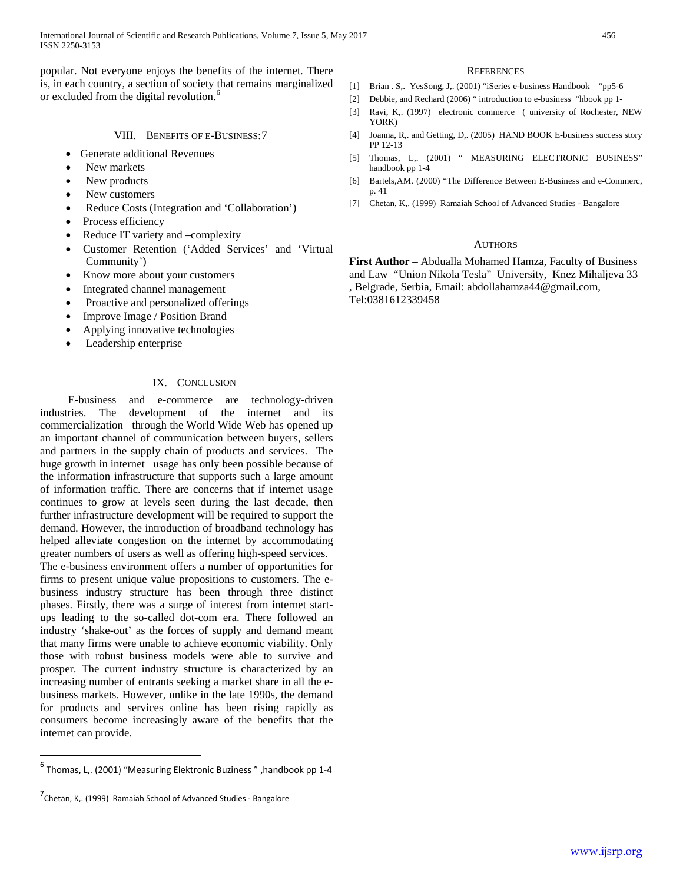popular. Not everyone enjoys the benefits of the internet. There is, in each country, a section of society that remains marginalized or excluded from the digital revolution.<sup>[6](#page-2-1)</sup>

VIII. BENEFITS OF E-BUSINESS:[7](#page-3-0)

- Generate additional Revenues
- New markets
- New products
- New customers
- Reduce Costs (Integration and 'Collaboration')
- Process efficiency
- Reduce IT variety and –complexity
- Customer Retention ('Added Services' and 'Virtual Community')
- Know more about your customers
- Integrated channel management
- Proactive and personalized offerings
- Improve Image / Position Brand
- Applying innovative technologies
- Leadership enterprise

## IX. CONCLUSION

 E-business and e-commerce are technology-driven industries. The development of the internet and its commercialization through the World Wide Web has opened up an important channel of communication between buyers, sellers and partners in the supply chain of products and services. The huge growth in internet usage has only been possible because of the information infrastructure that supports such a large amount of information traffic. There are concerns that if internet usage continues to grow at levels seen during the last decade, then further infrastructure development will be required to support the demand. However, the introduction of broadband technology has helped alleviate congestion on the internet by accommodating greater numbers of users as well as offering high-speed services. The e-business environment offers a number of opportunities for firms to present unique value propositions to customers. The ebusiness industry structure has been through three distinct phases. Firstly, there was a surge of interest from internet startups leading to the so-called dot-com era. There followed an industry 'shake-out' as the forces of supply and demand meant that many firms were unable to achieve economic viability. Only those with robust business models were able to survive and prosper. The current industry structure is characterized by an increasing number of entrants seeking a market share in all the ebusiness markets. However, unlike in the late 1990s, the demand for products and services online has been rising rapidly as consumers become increasingly aware of the benefits that the internet can provide.

 $\overline{a}$ 

#### **REFERENCES**

- [1] Brian . S,. YesSong, J,. (2001) "iSeries e-business Handbook "pp5-6
- [2] Debbie, and Rechard (2006) " introduction to e-business "hbook pp 1-
- [3] Ravi, K,. (1997) electronic commerce ( university of Rochester, NEW YORK)
- [4] Joanna, R,. and Getting, D,. (2005) HAND BOOK E-business success story PP 12-13
- [5] Thomas, L,. (2001) " MEASURING ELECTRONIC BUSINESS" handbook pp 1-4
- [6] Bartels,AM. (2000) "The Difference Between E-Business and e-Commerc, p. 41
- [7] Chetan, K,. (1999) Ramaiah School of Advanced Studies Bangalore

## **AUTHORS**

**First Author** – Abdualla Mohamed Hamza, Faculty of Business and Law "Union Nikola Tesla" University, Knez Mihaljeva 33 , Belgrade, Serbia, Email: abdollahamza44@gmail.com, Tel:0381612339458

<span id="page-3-0"></span> $6$  Thomas, L,. (2001) "Measuring Elektronic Buziness", handbook pp 1-4

<sup>7</sup> [Chetan,](https://www.linkedin.com/pub/chetan-kulkarni/36/391/b00?trk=biz_employee_pub) K,. (1999) Ramaiah School of Advanced Studies - Bangalore